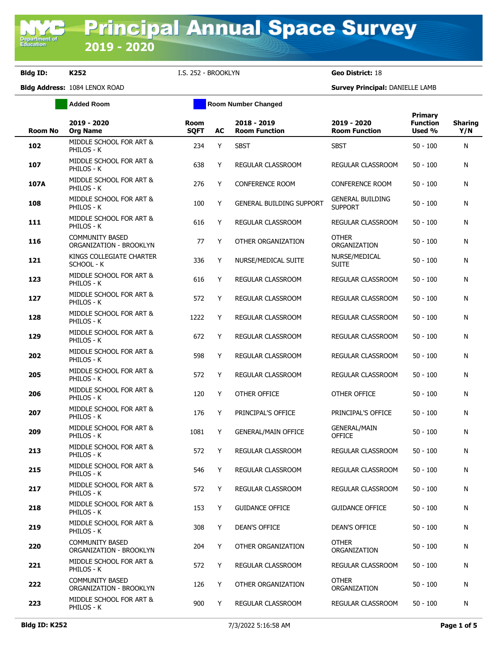Department of<br>Education

**Bldg ID: K252** I.S. 252 - BROOKLYN **Geo District:** 18

**Added Room Room Room Number Changed** 

| <b>Room No</b> | 2019 - 2020<br><b>Org Name</b>                    | <b>Room</b><br><b>SQFT</b> | AC | 2018 - 2019<br><b>Room Function</b> | 2019 - 2020<br><b>Room Function</b>       | Primary<br><b>Function</b><br>Used % | <b>Sharing</b><br>Y/N |
|----------------|---------------------------------------------------|----------------------------|----|-------------------------------------|-------------------------------------------|--------------------------------------|-----------------------|
| 102            | MIDDLE SCHOOL FOR ART &<br>PHILOS - K             | 234                        | Y  | <b>SBST</b>                         | <b>SBST</b>                               | $50 - 100$                           | N                     |
| 107            | MIDDLE SCHOOL FOR ART &<br>PHILOS - K             | 638                        | Y  | REGULAR CLASSROOM                   | REGULAR CLASSROOM                         | $50 - 100$                           | N                     |
| 107A           | MIDDLE SCHOOL FOR ART &<br>PHILOS - K             | 276                        | Y  | <b>CONFERENCE ROOM</b>              | <b>CONFERENCE ROOM</b>                    | $50 - 100$                           | N                     |
| 108            | MIDDLE SCHOOL FOR ART &<br>PHILOS - K             | 100                        | Y  | <b>GENERAL BUILDING SUPPORT</b>     | <b>GENERAL BUILDING</b><br><b>SUPPORT</b> | $50 - 100$                           | N                     |
| 111            | MIDDLE SCHOOL FOR ART &<br>PHILOS - K             | 616                        | Y  | <b>REGULAR CLASSROOM</b>            | REGULAR CLASSROOM                         | $50 - 100$                           | N                     |
| 116            | <b>COMMUNITY BASED</b><br>ORGANIZATION - BROOKLYN | 77                         | Y  | OTHER ORGANIZATION                  | <b>OTHER</b><br>ORGANIZATION              | $50 - 100$                           | N                     |
| 121            | KINGS COLLEGIATE CHARTER<br>SCHOOL - K            | 336                        | Y  | NURSE/MEDICAL SUITE                 | NURSE/MEDICAL<br><b>SUITE</b>             | $50 - 100$                           | N                     |
| 123            | MIDDLE SCHOOL FOR ART &<br>PHILOS - K             | 616                        | Y  | REGULAR CLASSROOM                   | REGULAR CLASSROOM                         | $50 - 100$                           | N                     |
| 127            | MIDDLE SCHOOL FOR ART &<br>PHILOS - K             | 572                        | Y  | <b>REGULAR CLASSROOM</b>            | REGULAR CLASSROOM                         | $50 - 100$                           | N                     |
| 128            | MIDDLE SCHOOL FOR ART &<br>PHILOS - K             | 1222                       | Y  | REGULAR CLASSROOM                   | REGULAR CLASSROOM                         | $50 - 100$                           | N                     |
| 129            | MIDDLE SCHOOL FOR ART &<br>PHILOS - K             | 672                        | Y  | <b>REGULAR CLASSROOM</b>            | REGULAR CLASSROOM                         | $50 - 100$                           | N                     |
| 202            | MIDDLE SCHOOL FOR ART &<br>PHILOS - K             | 598                        | Y  | REGULAR CLASSROOM                   | REGULAR CLASSROOM                         | $50 - 100$                           | N                     |
| 205            | MIDDLE SCHOOL FOR ART &<br>PHILOS - K             | 572                        | Y  | REGULAR CLASSROOM                   | REGULAR CLASSROOM                         | $50 - 100$                           | N                     |
| 206            | MIDDLE SCHOOL FOR ART &<br>PHILOS - K             | 120                        | Y  | OTHER OFFICE                        | OTHER OFFICE                              | $50 - 100$                           | N                     |
| 207            | MIDDLE SCHOOL FOR ART &<br>PHILOS - K             | 176                        | Y  | PRINCIPAL'S OFFICE                  | PRINCIPAL'S OFFICE                        | $50 - 100$                           | N                     |
| 209            | MIDDLE SCHOOL FOR ART &<br>PHILOS - K             | 1081                       | Y  | <b>GENERAL/MAIN OFFICE</b>          | <b>GENERAL/MAIN</b><br><b>OFFICE</b>      | $50 - 100$                           | N                     |
| 213            | MIDDLE SCHOOL FOR ART &<br>PHILOS - K             | 572                        | Y  | <b>REGULAR CLASSROOM</b>            | <b>REGULAR CLASSROOM</b>                  | $50 - 100$                           | N                     |
| 215            | MIDDLE SCHOOL FOR ART &<br>Philos - K             | 546                        | Y  | REGULAR CLASSROOM                   | REGULAR CLASSROOM                         | $50 - 100$                           | N                     |
| 217            | MIDDLE SCHOOL FOR ART &<br>PHILOS - K             | 572                        | Y  | REGULAR CLASSROOM                   | REGULAR CLASSROOM                         | $50 - 100$                           | N                     |
| 218            | MIDDLE SCHOOL FOR ART &<br>PHILOS - K             | 153                        | Y  | <b>GUIDANCE OFFICE</b>              | <b>GUIDANCE OFFICE</b>                    | $50 - 100$                           | N                     |
| 219            | MIDDLE SCHOOL FOR ART &<br>PHILOS - K             | 308                        | Y  | <b>DEAN'S OFFICE</b>                | DEAN'S OFFICE                             | $50 - 100$                           | N                     |
| 220            | <b>COMMUNITY BASED</b><br>ORGANIZATION - BROOKLYN | 204                        | Y  | OTHER ORGANIZATION                  | <b>OTHER</b><br>ORGANIZATION              | $50 - 100$                           | N                     |
| 221            | MIDDLE SCHOOL FOR ART &<br>PHILOS - K             | 572                        | Y  | REGULAR CLASSROOM                   | REGULAR CLASSROOM                         | $50 - 100$                           | N                     |
| 222            | <b>COMMUNITY BASED</b><br>ORGANIZATION - BROOKLYN | 126                        | Y  | OTHER ORGANIZATION                  | <b>OTHER</b><br>ORGANIZATION              | $50 - 100$                           | N                     |
| 223            | MIDDLE SCHOOL FOR ART &<br>PHILOS - K             | 900                        | Y  | REGULAR CLASSROOM                   | REGULAR CLASSROOM                         | $50 - 100$                           | N                     |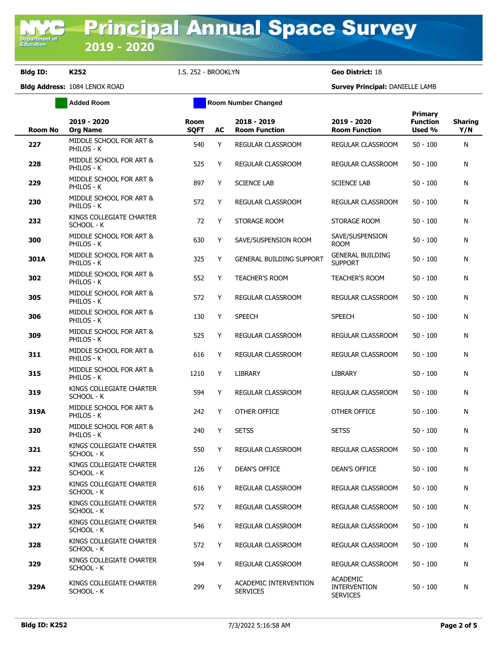**Bldg ID: K252** I.S. 252 - BROOKLYN **Geo District:** 18

**Added Room Room Room Number Changed** 

| <b>Room No</b> | 2019 - 2020<br><b>Org Name</b>         | <b>Room</b><br><b>SOFT</b> | AC | 2018 - 2019<br><b>Room Function</b>      | 2019 - 2020<br><b>Room Function</b>                       | Primary<br><b>Function</b><br>Used % | <b>Sharing</b><br>Y/N |
|----------------|----------------------------------------|----------------------------|----|------------------------------------------|-----------------------------------------------------------|--------------------------------------|-----------------------|
| 227            | MIDDLE SCHOOL FOR ART &<br>PHILOS - K  | 540                        | Y  | REGULAR CLASSROOM                        | REGULAR CLASSROOM                                         | $50 - 100$                           | N                     |
| 228            | MIDDLE SCHOOL FOR ART &<br>PHILOS - K  | 525                        | Y  | <b>REGULAR CLASSROOM</b>                 | REGULAR CLASSROOM                                         | $50 - 100$                           | N                     |
| 229            | MIDDLE SCHOOL FOR ART &<br>PHILOS - K  | 897                        | Y  | <b>SCIENCE LAB</b>                       | <b>SCIENCE LAB</b>                                        | $50 - 100$                           | N                     |
| 230            | MIDDLE SCHOOL FOR ART &<br>PHILOS - K  | 572                        | Y  | REGULAR CLASSROOM                        | REGULAR CLASSROOM                                         | $50 - 100$                           | N                     |
| 232            | KINGS COLLEGIATE CHARTER<br>SCHOOL - K | 72                         | Y  | STORAGE ROOM                             | STORAGE ROOM                                              | $50 - 100$                           | N                     |
| 300            | MIDDLE SCHOOL FOR ART &<br>PHILOS - K  | 630                        | Y  | SAVE/SUSPENSION ROOM                     | SAVE/SUSPENSION<br><b>ROOM</b>                            | $50 - 100$                           | N                     |
| 301A           | MIDDLE SCHOOL FOR ART &<br>PHILOS - K  | 325                        | Y  | <b>GENERAL BUILDING SUPPORT</b>          | <b>GENERAL BUILDING</b><br><b>SUPPORT</b>                 | $50 - 100$                           | N                     |
| 302            | MIDDLE SCHOOL FOR ART &<br>PHILOS - K  | 552                        | Y  | <b>TEACHER'S ROOM</b>                    | <b>TEACHER'S ROOM</b>                                     | $50 - 100$                           | N                     |
| 305            | MIDDLE SCHOOL FOR ART &<br>PHILOS - K  | 572                        | Y  | REGULAR CLASSROOM                        | REGULAR CLASSROOM                                         | $50 - 100$                           | N                     |
| 306            | MIDDLE SCHOOL FOR ART &<br>PHILOS - K  | 130                        | Y  | <b>SPEECH</b>                            | <b>SPEECH</b>                                             | $50 - 100$                           | N                     |
| 309            | MIDDLE SCHOOL FOR ART &<br>PHILOS - K  | 525                        | Y  | REGULAR CLASSROOM                        | REGULAR CLASSROOM                                         | $50 - 100$                           | N                     |
| 311            | MIDDLE SCHOOL FOR ART &<br>PHILOS - K  | 616                        | Y  | REGULAR CLASSROOM                        | REGULAR CLASSROOM                                         | $50 - 100$                           | N                     |
| 315            | MIDDLE SCHOOL FOR ART &<br>PHILOS - K  | 1210                       | Y  | LIBRARY                                  | LIBRARY                                                   | $50 - 100$                           | N                     |
| 319            | KINGS COLLEGIATE CHARTER<br>SCHOOL - K | 594                        | Y  | REGULAR CLASSROOM                        | REGULAR CLASSROOM                                         | $50 - 100$                           | N                     |
| 319A           | MIDDLE SCHOOL FOR ART &<br>PHILOS - K  | 242                        | Y  | OTHER OFFICE                             | OTHER OFFICE                                              | $50 - 100$                           | N                     |
| 320            | MIDDLE SCHOOL FOR ART &<br>PHILOS - K  | 240                        | Y  | <b>SETSS</b>                             | <b>SETSS</b>                                              | $50 - 100$                           | N                     |
| 321            | KINGS COLLEGIATE CHARTER<br>SCHOOL - K | 550                        | Y  | <b>REGULAR CLASSROOM</b>                 | <b>REGULAR CLASSROOM</b>                                  | $50 - 100$                           | N                     |
| 322            | KINGS COLLEGIATE CHARTER<br>SCHOOL - K | 126                        | Y  | <b>DEAN'S OFFICE</b>                     | <b>DEAN'S OFFICE</b>                                      | $50 - 100$                           | N                     |
| 323            | KINGS COLLEGIATE CHARTER<br>SCHOOL - K | 616                        | Y  | <b>REGULAR CLASSROOM</b>                 | REGULAR CLASSROOM                                         | $50 - 100$                           | N                     |
| 325            | KINGS COLLEGIATE CHARTER<br>SCHOOL - K | 572                        | Y  | REGULAR CLASSROOM                        | REGULAR CLASSROOM                                         | $50 - 100$                           | N                     |
| 327            | KINGS COLLEGIATE CHARTER<br>SCHOOL - K | 546                        | Y  | REGULAR CLASSROOM                        | REGULAR CLASSROOM                                         | $50 - 100$                           | N                     |
| 328            | KINGS COLLEGIATE CHARTER<br>SCHOOL - K | 572                        | Y  | REGULAR CLASSROOM                        | REGULAR CLASSROOM                                         | $50 - 100$                           | N                     |
| 329            | KINGS COLLEGIATE CHARTER<br>SCHOOL - K | 594                        | Y  | <b>REGULAR CLASSROOM</b>                 | REGULAR CLASSROOM                                         | $50 - 100$                           | N                     |
| 329A           | KINGS COLLEGIATE CHARTER<br>SCHOOL - K | 299                        | Y  | ACADEMIC INTERVENTION<br><b>SERVICES</b> | <b>ACADEMIC</b><br><b>INTERVENTION</b><br><b>SERVICES</b> | $50 - 100$                           | N                     |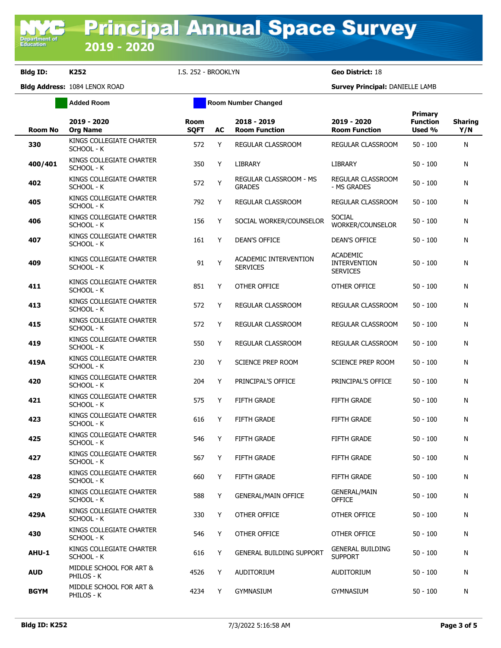**Bldg ID: K252** I.S. 252 - BROOKLYN **Geo District:** 18

**Added Room Room Room Number Changed** 

| <b>Room No</b> | 2019 - 2020<br><b>Org Name</b>         | Room<br><b>SQFT</b> | AC | 2018 - 2019<br><b>Room Function</b>      | 2019 - 2020<br><b>Room Function</b>                       | Primary<br><b>Function</b><br>Used % | <b>Sharing</b><br>Y/N |
|----------------|----------------------------------------|---------------------|----|------------------------------------------|-----------------------------------------------------------|--------------------------------------|-----------------------|
| 330            | KINGS COLLEGIATE CHARTER<br>SCHOOL - K | 572                 | Y  | REGULAR CLASSROOM                        | REGULAR CLASSROOM                                         | $50 - 100$                           | N                     |
| 400/401        | KINGS COLLEGIATE CHARTER<br>SCHOOL - K | 350                 | Y  | <b>LIBRARY</b>                           | <b>LIBRARY</b>                                            | $50 - 100$                           | N                     |
| 402            | KINGS COLLEGIATE CHARTER<br>SCHOOL - K | 572                 | Y  | REGULAR CLASSROOM - MS<br><b>GRADES</b>  | REGULAR CLASSROOM<br>- MS GRADES                          | $50 - 100$                           | N                     |
| 405            | KINGS COLLEGIATE CHARTER<br>SCHOOL - K | 792                 | Y  | REGULAR CLASSROOM                        | REGULAR CLASSROOM                                         | $50 - 100$                           | N                     |
| 406            | KINGS COLLEGIATE CHARTER<br>SCHOOL - K | 156                 | Y  | SOCIAL WORKER/COUNSELOR                  | <b>SOCIAL</b><br>WORKER/COUNSELOR                         | $50 - 100$                           | N                     |
| 407            | KINGS COLLEGIATE CHARTER<br>SCHOOL - K | 161                 | Y  | <b>DEAN'S OFFICE</b>                     | <b>DEAN'S OFFICE</b>                                      | $50 - 100$                           | N                     |
| 409            | KINGS COLLEGIATE CHARTER<br>SCHOOL - K | 91                  | Y  | ACADEMIC INTERVENTION<br><b>SERVICES</b> | <b>ACADEMIC</b><br><b>INTERVENTION</b><br><b>SERVICES</b> | $50 - 100$                           | N                     |
| 411            | KINGS COLLEGIATE CHARTER<br>SCHOOL - K | 851                 | Y  | OTHER OFFICE                             | OTHER OFFICE                                              | $50 - 100$                           | N                     |
| 413            | KINGS COLLEGIATE CHARTER<br>SCHOOL - K | 572                 | Y  | REGULAR CLASSROOM                        | REGULAR CLASSROOM                                         | $50 - 100$                           | N                     |
| 415            | KINGS COLLEGIATE CHARTER<br>SCHOOL - K | 572                 | Y  | REGULAR CLASSROOM                        | REGULAR CLASSROOM                                         | $50 - 100$                           | N                     |
| 419            | KINGS COLLEGIATE CHARTER<br>SCHOOL - K | 550                 | Y  | REGULAR CLASSROOM                        | REGULAR CLASSROOM                                         | $50 - 100$                           | N                     |
| 419A           | KINGS COLLEGIATE CHARTER<br>SCHOOL - K | 230                 | Y  | <b>SCIENCE PREP ROOM</b>                 | SCIENCE PREP ROOM                                         | $50 - 100$                           | N                     |
| 420            | KINGS COLLEGIATE CHARTER<br>SCHOOL - K | 204                 | Y  | PRINCIPAL'S OFFICE                       | PRINCIPAL'S OFFICE                                        | $50 - 100$                           | N                     |
| 421            | KINGS COLLEGIATE CHARTER<br>SCHOOL - K | 575                 | Y  | <b>FIFTH GRADE</b>                       | <b>FIFTH GRADE</b>                                        | $50 - 100$                           | N                     |
| 423            | KINGS COLLEGIATE CHARTER<br>SCHOOL - K | 616                 | Y  | <b>FIFTH GRADE</b>                       | <b>FIFTH GRADE</b>                                        | $50 - 100$                           | N                     |
| 425            | KINGS COLLEGIATE CHARTER<br>SCHOOL - K | 546                 | Y  | FIFTH GRADE                              | <b>FIFTH GRADE</b>                                        | $50 - 100$                           | N                     |
| 427            | KINGS COLLEGIATE CHARTER<br>SCHOOL - K | 567                 | Y  | FIFTH GRADE                              | <b>FIFTH GRADE</b>                                        | $50 - 100$                           | N                     |
| 428            | KINGS COLLEGIATE CHARTER<br>SCHOOL - K | 660                 | Y  | FIFTH GRADE                              | FIFTH GRADE                                               | $50 - 100$                           | N                     |
| 429            | KINGS COLLEGIATE CHARTER<br>SCHOOL - K | 588                 | Y  | <b>GENERAL/MAIN OFFICE</b>               | <b>GENERAL/MAIN</b><br><b>OFFICE</b>                      | $50 - 100$                           | N                     |
| 429A           | KINGS COLLEGIATE CHARTER<br>SCHOOL - K | 330                 | Y  | OTHER OFFICE                             | OTHER OFFICE                                              | $50 - 100$                           | N                     |
| 430            | KINGS COLLEGIATE CHARTER<br>SCHOOL - K | 546                 | Y  | OTHER OFFICE                             | OTHER OFFICE                                              | $50 - 100$                           | N                     |
| AHU-1          | KINGS COLLEGIATE CHARTER<br>SCHOOL - K | 616                 | Y  | <b>GENERAL BUILDING SUPPORT</b>          | <b>GENERAL BUILDING</b><br><b>SUPPORT</b>                 | $50 - 100$                           | N                     |
| <b>AUD</b>     | MIDDLE SCHOOL FOR ART &<br>PHILOS - K  | 4526                | Y  | AUDITORIUM                               | AUDITORIUM                                                | $50 - 100$                           | N                     |
| <b>BGYM</b>    | MIDDLE SCHOOL FOR ART &<br>PHILOS - K  | 4234                | Y  | <b>GYMNASIUM</b>                         | <b>GYMNASIUM</b>                                          | $50 - 100$                           | N                     |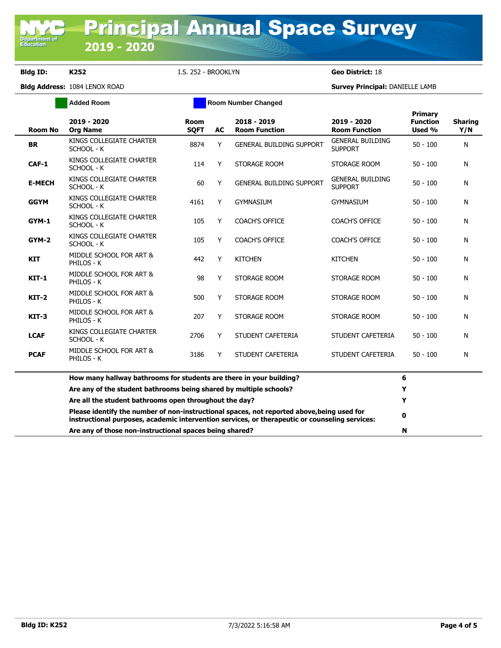**Department of**<br>Education

**Bldg ID: K252** I.S. 252 - BROOKLYN **Geo District:** 18

|                | <b>Added Room</b>                                                                                                                                                                            | <b>Room Number Changed</b> |           |                                     |                                           |                                      |                       |
|----------------|----------------------------------------------------------------------------------------------------------------------------------------------------------------------------------------------|----------------------------|-----------|-------------------------------------|-------------------------------------------|--------------------------------------|-----------------------|
| <b>Room No</b> | 2019 - 2020<br><b>Org Name</b>                                                                                                                                                               | Room<br><b>SQFT</b>        | <b>AC</b> | 2018 - 2019<br><b>Room Function</b> | 2019 - 2020<br><b>Room Function</b>       | Primary<br><b>Function</b><br>Used % | <b>Sharing</b><br>Y/N |
| <b>BR</b>      | KINGS COLLEGIATE CHARTER<br>SCHOOL - K                                                                                                                                                       | 8874                       | Y         | <b>GENERAL BUILDING SUPPORT</b>     | <b>GENERAL BUILDING</b><br><b>SUPPORT</b> | $50 - 100$                           | N                     |
| CAF-1          | KINGS COLLEGIATE CHARTER<br>SCHOOL - K                                                                                                                                                       | 114                        | Y         | STORAGE ROOM                        | STORAGE ROOM                              | $50 - 100$                           | N                     |
| <b>E-MECH</b>  | KINGS COLLEGIATE CHARTER<br>SCHOOL - K                                                                                                                                                       | 60                         | Y         | <b>GENERAL BUILDING SUPPORT</b>     | <b>GENERAL BUILDING</b><br><b>SUPPORT</b> | $50 - 100$                           | N                     |
| <b>GGYM</b>    | KINGS COLLEGIATE CHARTER<br>SCHOOL - K                                                                                                                                                       | 4161                       | Y         | <b>GYMNASIUM</b>                    | GYMNASIUM                                 | $50 - 100$                           | N                     |
| GYM-1          | KINGS COLLEGIATE CHARTER<br>SCHOOL - K                                                                                                                                                       | 105                        | Y         | <b>COACH'S OFFICE</b>               | <b>COACH'S OFFICE</b>                     | $50 - 100$                           | N                     |
| GYM-2          | KINGS COLLEGIATE CHARTER<br>SCHOOL - K                                                                                                                                                       | 105                        | Y         | <b>COACH'S OFFICE</b>               | <b>COACH'S OFFICE</b>                     | $50 - 100$                           | N                     |
| <b>KIT</b>     | MIDDLE SCHOOL FOR ART &<br>PHILOS - K                                                                                                                                                        | 442                        | Y         | <b>KITCHEN</b>                      | <b>KITCHEN</b>                            | $50 - 100$                           | N                     |
| $KIT-1$        | MIDDLE SCHOOL FOR ART &<br>PHILOS - K                                                                                                                                                        | 98                         | Y         | STORAGE ROOM                        | STORAGE ROOM                              | $50 - 100$                           | N                     |
| $KT-2$         | MIDDLE SCHOOL FOR ART &<br>PHILOS - K                                                                                                                                                        | 500                        | Y         | STORAGE ROOM                        | STORAGE ROOM                              | $50 - 100$                           | N                     |
| $KIT-3$        | MIDDLE SCHOOL FOR ART &<br>PHILOS - K                                                                                                                                                        | 207                        | Y         | STORAGE ROOM                        | STORAGE ROOM                              | $50 - 100$                           | N                     |
| <b>LCAF</b>    | KINGS COLLEGIATE CHARTER<br>SCHOOL - K                                                                                                                                                       | 2706                       | Y         | STUDENT CAFETERIA                   | STUDENT CAFETERIA                         | $50 - 100$                           | N                     |
| <b>PCAF</b>    | MIDDLE SCHOOL FOR ART &<br>PHILOS - K                                                                                                                                                        | 3186                       | Y         | STUDENT CAFETERIA                   | STUDENT CAFETERIA                         | $50 - 100$                           | N                     |
|                | How many hallway bathrooms for students are there in your building?                                                                                                                          |                            |           |                                     |                                           | 6                                    |                       |
|                | Are any of the student bathrooms being shared by multiple schools?                                                                                                                           |                            |           |                                     |                                           | Y                                    |                       |
|                | Are all the student bathrooms open throughout the day?                                                                                                                                       |                            |           |                                     |                                           | Y                                    |                       |
|                | Please identify the number of non-instructional spaces, not reported above, being used for<br>instructional purposes, academic intervention services, or therapeutic or counseling services: |                            |           |                                     |                                           | 0                                    |                       |
|                | Are any of those non-instructional spaces being shared?                                                                                                                                      |                            |           |                                     |                                           | N                                    |                       |